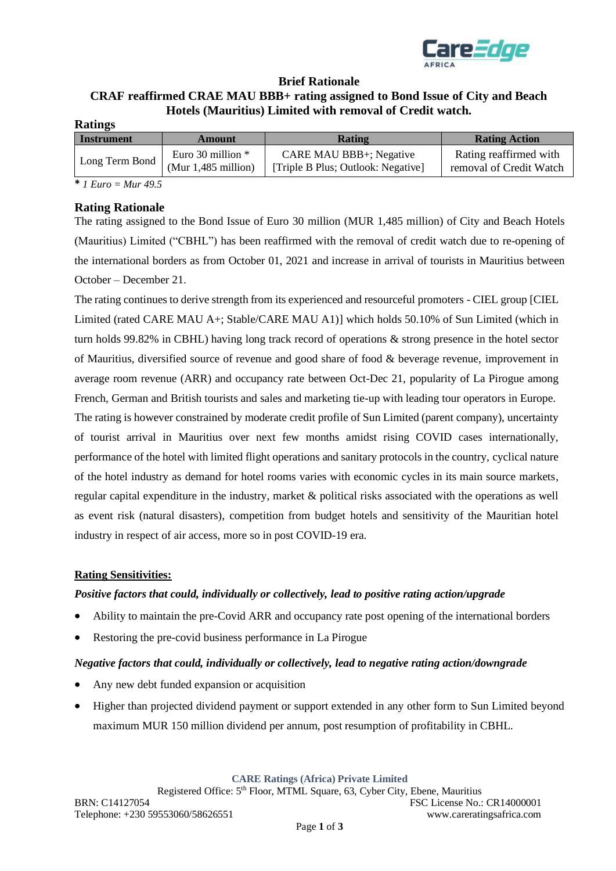

## **Brief Rationale CRAF reaffirmed CRAE MAU BBB+ rating assigned to Bond Issue of City and Beach Hotels (Mauritius) Limited with removal of Credit watch.**

| Rating                         | <b>Rating Action</b>                              |
|--------------------------------|---------------------------------------------------|
| <b>CARE MAU BBB+; Negative</b> | Rating reaffirmed with<br>removal of Credit Watch |
|                                | [Triple B Plus; Outlook: Negative]                |

**\*** *1 Euro = Mur 49.5*

#### **Rating Rationale**

The rating assigned to the Bond Issue of Euro 30 million (MUR 1,485 million) of City and Beach Hotels (Mauritius) Limited ("CBHL") has been reaffirmed with the removal of credit watch due to re-opening of the international borders as from October 01, 2021 and increase in arrival of tourists in Mauritius between October – December 21.

The rating continues to derive strength from its experienced and resourceful promoters - CIEL group [CIEL Limited (rated CARE MAU A+; Stable/CARE MAU A1)] which holds 50.10% of Sun Limited (which in turn holds 99.82% in CBHL) having long track record of operations & strong presence in the hotel sector of Mauritius, diversified source of revenue and good share of food & beverage revenue, improvement in average room revenue (ARR) and occupancy rate between Oct-Dec 21, popularity of La Pirogue among French, German and British tourists and sales and marketing tie-up with leading tour operators in Europe. The rating is however constrained by moderate credit profile of Sun Limited (parent company), uncertainty of tourist arrival in Mauritius over next few months amidst rising COVID cases internationally, performance of the hotel with limited flight operations and sanitary protocols in the country, cyclical nature of the hotel industry as demand for hotel rooms varies with economic cycles in its main source markets, regular capital expenditure in the industry, market & political risks associated with the operations as well as event risk (natural disasters), competition from budget hotels and sensitivity of the Mauritian hotel industry in respect of air access, more so in post COVID-19 era.

#### **Rating Sensitivities:**

#### *Positive factors that could, individually or collectively, lead to positive rating action/upgrade*

- Ability to maintain the pre-Covid ARR and occupancy rate post opening of the international borders
- Restoring the pre-covid business performance in La Pirogue

### *Negative factors that could, individually or collectively, lead to negative rating action/downgrade*

- Any new debt funded expansion or acquisition
- Higher than projected dividend payment or support extended in any other form to Sun Limited beyond maximum MUR 150 million dividend per annum, post resumption of profitability in CBHL.

**CARE Ratings (Africa) Private Limited**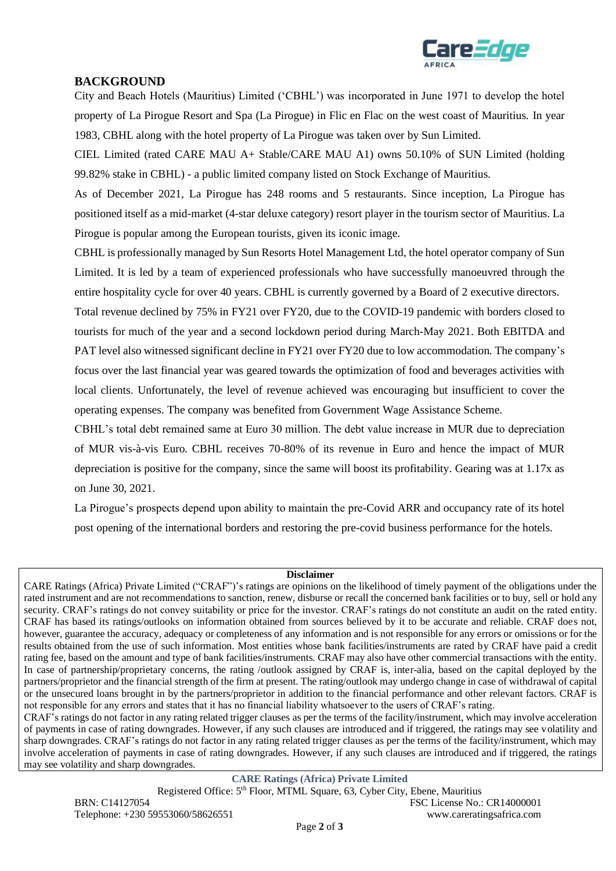

## **BACKGROUND**

City and Beach Hotels (Mauritius) Limited ('CBHL') was incorporated in June 1971 to develop the hotel property of La Pirogue Resort and Spa (La Pirogue) in Flic en Flac on the west coast of Mauritius. In year 1983, CBHL along with the hotel property of La Pirogue was taken over by Sun Limited.

CIEL Limited (rated CARE MAU A+ Stable/CARE MAU A1) owns 50.10% of SUN Limited (holding 99.82% stake in CBHL) - a public limited company listed on Stock Exchange of Mauritius.

As of December 2021, La Pirogue has 248 rooms and 5 restaurants. Since inception, La Pirogue has positioned itself as a mid-market (4-star deluxe category) resort player in the tourism sector of Mauritius. La Pirogue is popular among the European tourists, given its iconic image.

CBHL is professionally managed by Sun Resorts Hotel Management Ltd, the hotel operator company of Sun Limited. It is led by a team of experienced professionals who have successfully manoeuvred through the entire hospitality cycle for over 40 years. CBHL is currently governed by a Board of 2 executive directors.

Total revenue declined by 75% in FY21 over FY20, due to the COVID-19 pandemic with borders closed to tourists for much of the year and a second lockdown period during March-May 2021. Both EBITDA and PAT level also witnessed significant decline in FY21 over FY20 due to low accommodation. The company's focus over the last financial year was geared towards the optimization of food and beverages activities with local clients. Unfortunately, the level of revenue achieved was encouraging but insufficient to cover the operating expenses. The company was benefited from Government Wage Assistance Scheme.

CBHL's total debt remained same at Euro 30 million. The debt value increase in MUR due to depreciation of MUR vis-à-vis Euro. CBHL receives 70-80% of its revenue in Euro and hence the impact of MUR depreciation is positive for the company, since the same will boost its profitability. Gearing was at 1.17x as on June 30, 2021.

La Pirogue's prospects depend upon ability to maintain the pre-Covid ARR and occupancy rate of its hotel post opening of the international borders and restoring the pre-covid business performance for the hotels.

#### **Disclaimer**

CARE Ratings (Africa) Private Limited ("CRAF")'s ratings are opinions on the likelihood of timely payment of the obligations under the rated instrument and are not recommendations to sanction, renew, disburse or recall the concerned bank facilities or to buy, sell or hold any security. CRAF's ratings do not convey suitability or price for the investor. CRAF's ratings do not constitute an audit on the rated entity. CRAF has based its ratings/outlooks on information obtained from sources believed by it to be accurate and reliable. CRAF does not, however, guarantee the accuracy, adequacy or completeness of any information and is not responsible for any errors or omissions or for the results obtained from the use of such information. Most entities whose bank facilities/instruments are rated by CRAF have paid a credit rating fee, based on the amount and type of bank facilities/instruments. CRAF may also have other commercial transactions with the entity. In case of partnership/proprietary concerns, the rating /outlook assigned by CRAF is, inter-alia, based on the capital deployed by the partners/proprietor and the financial strength of the firm at present. The rating/outlook may undergo change in case of withdrawal of capital or the unsecured loans brought in by the partners/proprietor in addition to the financial performance and other relevant factors. CRAF is not responsible for any errors and states that it has no financial liability whatsoever to the users of CRAF's rating.

CRAF's ratings do not factor in any rating related trigger clauses as per the terms of the facility/instrument, which may involve acceleration of payments in case of rating downgrades. However, if any such clauses are introduced and if triggered, the ratings may see volatility and sharp downgrades. CRAF's ratings do not factor in any rating related trigger clauses as per the terms of the facility/instrument, which may involve acceleration of payments in case of rating downgrades. However, if any such clauses are introduced and if triggered, the ratings may see volatility and sharp downgrades.